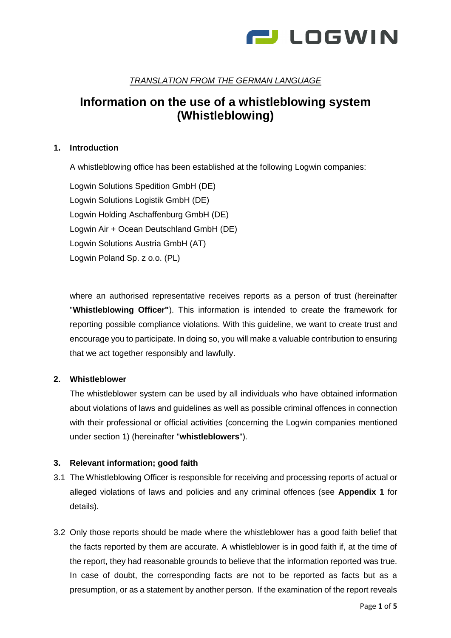

# *TRANSLATION FROM THE GERMAN LANGUAGE*

# **Information on the use of a whistleblowing system (Whistleblowing)**

# **1. Introduction**

A whistleblowing office has been established at the following Logwin companies:

Logwin Solutions Spedition GmbH (DE) Logwin Solutions Logistik GmbH (DE) Logwin Holding Aschaffenburg GmbH (DE) Logwin Air + Ocean Deutschland GmbH (DE) Logwin Solutions Austria GmbH (AT) Logwin Poland Sp. z o.o. (PL)

where an authorised representative receives reports as a person of trust (hereinafter "**Whistleblowing Officer"**). This information is intended to create the framework for reporting possible compliance violations. With this guideline, we want to create trust and encourage you to participate. In doing so, you will make a valuable contribution to ensuring that we act together responsibly and lawfully.

# **2. Whistleblower**

The whistleblower system can be used by all individuals who have obtained information about violations of laws and guidelines as well as possible criminal offences in connection with their professional or official activities (concerning the Logwin companies mentioned under section 1) (hereinafter "**whistleblowers**").

# **3. Relevant information; good faith**

- 3.1 The Whistleblowing Officer is responsible for receiving and processing reports of actual or alleged violations of laws and policies and any criminal offences (see **Appendix 1** for details).
- 3.2 Only those reports should be made where the whistleblower has a good faith belief that the facts reported by them are accurate. A whistleblower is in good faith if, at the time of the report, they had reasonable grounds to believe that the information reported was true. In case of doubt, the corresponding facts are not to be reported as facts but as a presumption, or as a statement by another person. If the examination of the report reveals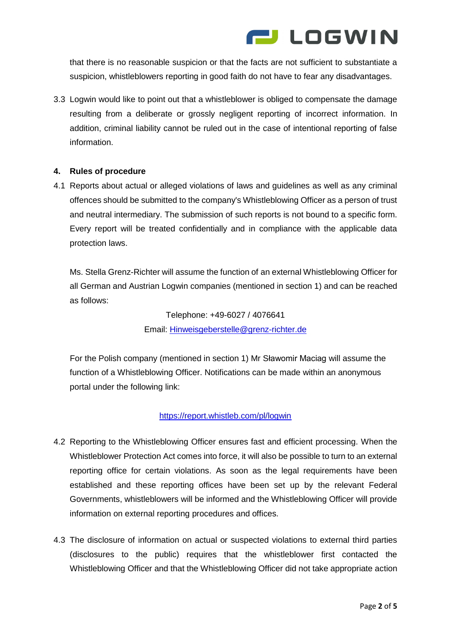

that there is no reasonable suspicion or that the facts are not sufficient to substantiate a suspicion, whistleblowers reporting in good faith do not have to fear any disadvantages.

3.3 Logwin would like to point out that a whistleblower is obliged to compensate the damage resulting from a deliberate or grossly negligent reporting of incorrect information. In addition, criminal liability cannot be ruled out in the case of intentional reporting of false information.

# **4. Rules of procedure**

4.1 Reports about actual or alleged violations of laws and guidelines as well as any criminal offences should be submitted to the company's Whistleblowing Officer as a person of trust and neutral intermediary. The submission of such reports is not bound to a specific form. Every report will be treated confidentially and in compliance with the applicable data protection laws.

Ms. Stella Grenz-Richter will assume the function of an external Whistleblowing Officer for all German and Austrian Logwin companies (mentioned in section 1) and can be reached as follows:

> Telephone: +49-6027 / 4076641 Email: [Hinweisgeberstelle@grenz-richter.de](mailto:Hinweisgeberstelle@grenz-richter.de)

 For the Polish company (mentioned in section 1) Mr Sławomir Maciag will assume the function of a Whistleblowing Officer. Notifications can be made within an anonymous portal under the following link:

# <https://report.whistleb.com/pl/logwin>

- 4.2 Reporting to the Whistleblowing Officer ensures fast and efficient processing. When the Whistleblower Protection Act comes into force, it will also be possible to turn to an external reporting office for certain violations. As soon as the legal requirements have been established and these reporting offices have been set up by the relevant Federal Governments, whistleblowers will be informed and the Whistleblowing Officer will provide information on external reporting procedures and offices.
- 4.3 The disclosure of information on actual or suspected violations to external third parties (disclosures to the public) requires that the whistleblower first contacted the Whistleblowing Officer and that the Whistleblowing Officer did not take appropriate action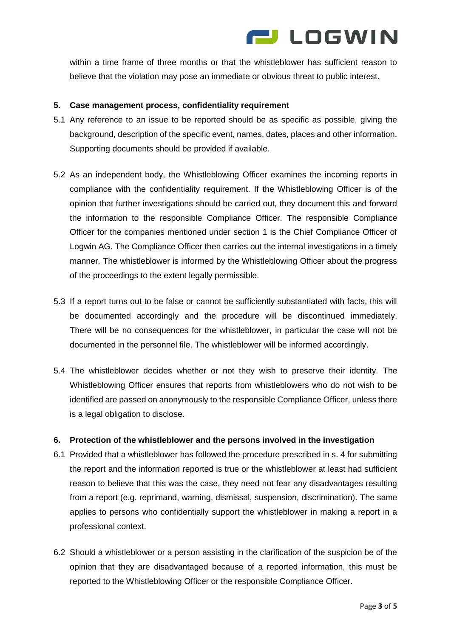

within a time frame of three months or that the whistleblower has sufficient reason to believe that the violation may pose an immediate or obvious threat to public interest.

# **5. Case management process, confidentiality requirement**

- 5.1 Any reference to an issue to be reported should be as specific as possible, giving the background, description of the specific event, names, dates, places and other information. Supporting documents should be provided if available.
- 5.2 As an independent body, the Whistleblowing Officer examines the incoming reports in compliance with the confidentiality requirement. If the Whistleblowing Officer is of the opinion that further investigations should be carried out, they document this and forward the information to the responsible Compliance Officer. The responsible Compliance Officer for the companies mentioned under section 1 is the Chief Compliance Officer of Logwin AG. The Compliance Officer then carries out the internal investigations in a timely manner. The whistleblower is informed by the Whistleblowing Officer about the progress of the proceedings to the extent legally permissible.
- 5.3 If a report turns out to be false or cannot be sufficiently substantiated with facts, this will be documented accordingly and the procedure will be discontinued immediately. There will be no consequences for the whistleblower, in particular the case will not be documented in the personnel file. The whistleblower will be informed accordingly.
- 5.4 The whistleblower decides whether or not they wish to preserve their identity. The Whistleblowing Officer ensures that reports from whistleblowers who do not wish to be identified are passed on anonymously to the responsible Compliance Officer, unless there is a legal obligation to disclose.

# **6. Protection of the whistleblower and the persons involved in the investigation**

- 6.1 Provided that a whistleblower has followed the procedure prescribed in s. 4 for submitting the report and the information reported is true or the whistleblower at least had sufficient reason to believe that this was the case, they need not fear any disadvantages resulting from a report (e.g. reprimand, warning, dismissal, suspension, discrimination). The same applies to persons who confidentially support the whistleblower in making a report in a professional context.
- 6.2 Should a whistleblower or a person assisting in the clarification of the suspicion be of the opinion that they are disadvantaged because of a reported information, this must be reported to the Whistleblowing Officer or the responsible Compliance Officer.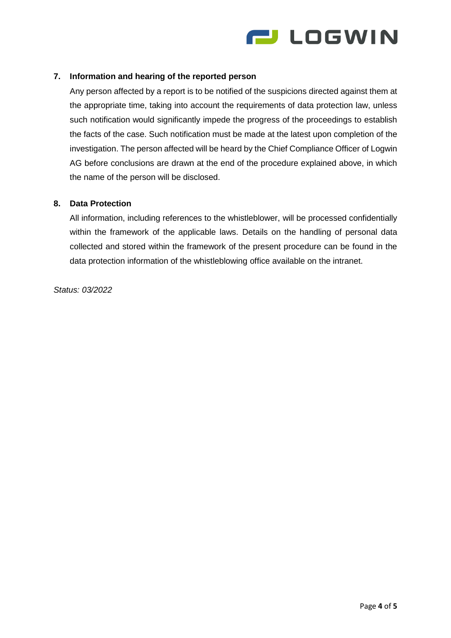

# **7. Information and hearing of the reported person**

Any person affected by a report is to be notified of the suspicions directed against them at the appropriate time, taking into account the requirements of data protection law, unless such notification would significantly impede the progress of the proceedings to establish the facts of the case. Such notification must be made at the latest upon completion of the investigation. The person affected will be heard by the Chief Compliance Officer of Logwin AG before conclusions are drawn at the end of the procedure explained above, in which the name of the person will be disclosed.

#### **8. Data Protection**

All information, including references to the whistleblower, will be processed confidentially within the framework of the applicable laws. Details on the handling of personal data collected and stored within the framework of the present procedure can be found in the data protection information of the whistleblowing office available on the intranet.

*Status: 03/2022*